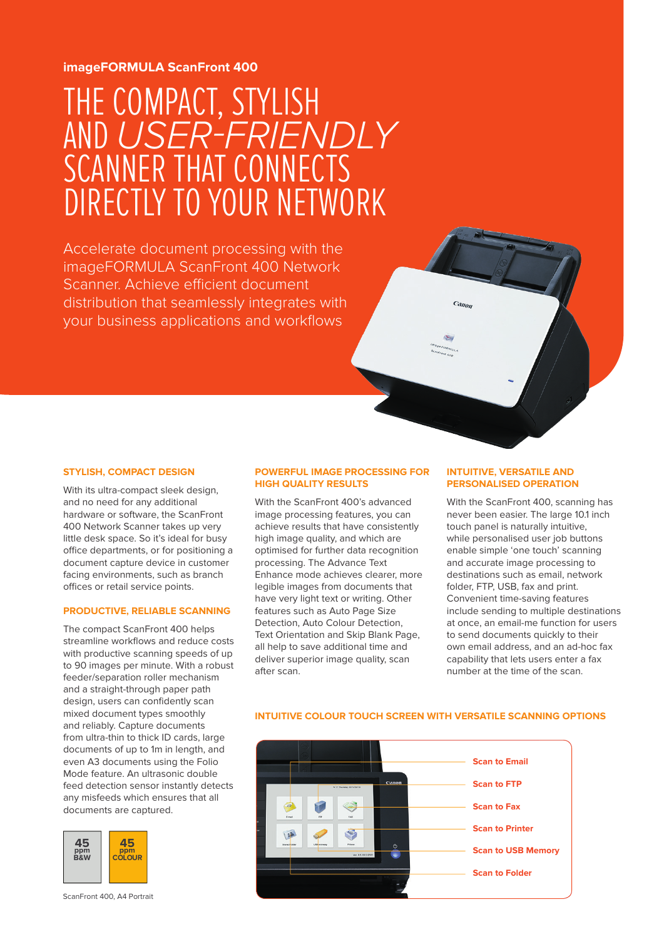### **imageFORMULA ScanFront 400**

# THE COMPACT, STYLISH AND *USER-FRIENDLY* SCANNER THAT CONNECTS DIRECTLY TO YOUR NETWORK

Accelerate document processing with the imageFORMULA ScanFront 400 Network Scanner. Achieve efficient document distribution that seamlessly integrates with your business applications and workflows

#### **STYLISH, COMPACT DESIGN**

With its ultra-compact sleek design, and no need for any additional hardware or software, the ScanFront 400 Network Scanner takes up very little desk space. So it's ideal for busy office departments, or for positioning a document capture device in customer facing environments, such as branch offices or retail service points.

#### **PRODUCTIVE, RELIABLE SCANNING**

The compact ScanFront 400 helps streamline workflows and reduce costs with productive scanning speeds of up to 90 images per minute. With a robust feeder/separation roller mechanism and a straight-through paper path design, users can confidently scan mixed document types smoothly and reliably. Capture documents from ultra-thin to thick ID cards, large documents of up to 1m in length, and even A3 documents using the Folio Mode feature. An ultrasonic double feed detection sensor instantly detects any misfeeds which ensures that all documents are captured.



ScanFront 400, A4 Portrait

#### **POWERFUL IMAGE PROCESSING FOR HIGH QUALITY RESULTS**

With the ScanFront 400's advanced image processing features, you can achieve results that have consistently high image quality, and which are optimised for further data recognition processing. The Advance Text Enhance mode achieves clearer, more legible images from documents that have very light text or writing. Other features such as Auto Page Size Detection, Auto Colour Detection, Text Orientation and Skip Blank Page, all help to save additional time and deliver superior image quality, scan after scan.

#### **INTUITIVE, VERSATILE AND PERSONALISED OPERATION**

 $c_{d\mu\alpha}$ 

With the ScanFront 400, scanning has never been easier. The large 10.1 inch touch panel is naturally intuitive, while personalised user job buttons enable simple 'one touch' scanning and accurate image processing to destinations such as email, network folder, FTP, USB, fax and print. Convenient time-saving features include sending to multiple destinations at once, an email-me function for users to send documents quickly to their own email address, and an ad-hoc fax capability that lets users enter a fax number at the time of the scan.

#### **INTUITIVE COLOUR TOUCH SCREEN WITH VERSATILE SCANNING OPTIONS**

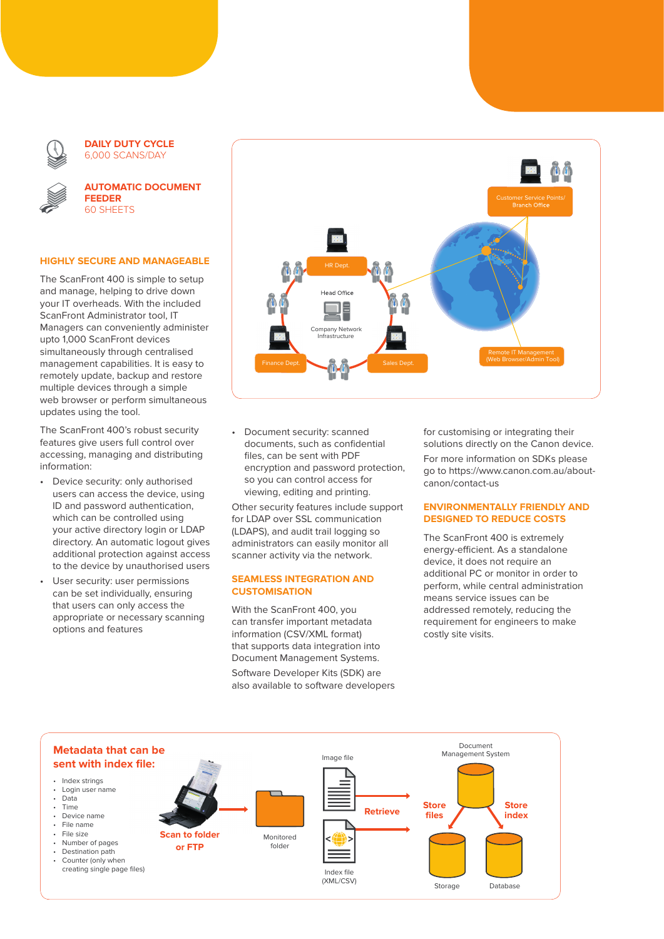

**DAILY DUTY CYCLE** 6,000 SCANS/DAY



**AUTOMATIC DOCUMENT FEEDER** 60 SHEETS

#### **HIGHLY SECURE AND MANAGEABLE**

The ScanFront 400 is simple to setup and manage, helping to drive down your IT overheads. With the included ScanFront Administrator tool, IT Managers can conveniently administer upto 1,000 ScanFront devices simultaneously through centralised management capabilities. It is easy to remotely update, backup and restore multiple devices through a simple web browser or perform simultaneous updates using the tool.

The ScanFront 400's robust security features give users full control over accessing, managing and distributing information:

- Device security: only authorised users can access the device, using ID and password authentication, which can be controlled using your active directory login or LDAP directory. An automatic logout gives additional protection against access to the device by unauthorised users
- User security: user permissions can be set individually, ensuring that users can only access the appropriate or necessary scanning options and features



• Document security: scanned documents, such as confidential files, can be sent with PDF encryption and password protection, so you can control access for viewing, editing and printing.

Other security features include support for LDAP over SSL communication (LDAPS), and audit trail logging so administrators can easily monitor all scanner activity via the network.

#### **SEAMLESS INTEGRATION AND CUSTOMISATION**

With the ScanFront 400, you can transfer important metadata information (CSV/XML format) that supports data integration into Document Management Systems. Software Developer Kits (SDK) are also available to software developers for customising or integrating their solutions directly on the Canon device. For more information on SDKs please go to https://www.canon.com.au/aboutcanon/contact-us

#### **ENVIRONMENTALLY FRIENDLY AND DESIGNED TO REDUCE COSTS**

The ScanFront 400 is extremely energy-efficient. As a standalone device, it does not require an additional PC or monitor in order to perform, while central administration means service issues can be addressed remotely, reducing the requirement for engineers to make costly site visits.